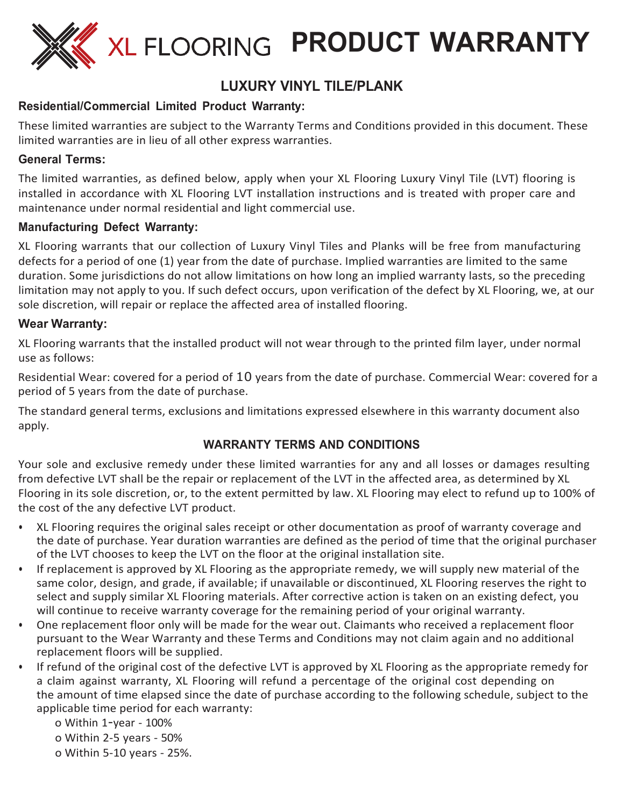

# **LUXURY VINYL TILE/PLANK**

# **Residential/Commercial Limited Product Warranty:**

These limited warranties are subject to the Warranty Terms and Conditions provided in this document. These limited warranties are in lieu of all other express warranties.

## **General Terms:**

The limited warranties, as defined below, apply when your XL Flooring Luxury Vinyl Tile (LVT) flooring is installed in accordance with XL Flooring LVT installation instructions and is treated with proper care and maintenance under normal residential and light commercial use.

### **Manufacturing Defect Warranty:**

XL Flooring warrants that our collection of Luxury Vinyl Tiles and Planks will be free from manufacturing defects for a period of one (1) year from the date of purchase. Implied warranties are limited to the same duration. Some jurisdictions do not allow limitations on how long an implied warranty lasts, so the preceding limitation may not apply to you. If such defect occurs, upon verification of the defect by XL Flooring, we, at our sole discretion, will repair or replace the affected area of installed flooring.

### **Wear Warranty:**

XL Flooring warrants that the installed product will not wear through to the printed film layer, under normal use as follows:

Residential Wear: covered for a period of 10 years from the date of purchase. Commercial Wear: covered for a period of 5 years from the date of purchase.

The standard general terms, exclusions and limitations expressed elsewhere in this warranty document also apply.

# **WARRANTY TERMS AND CONDITIONS**

Your sole and exclusive remedy under these limited warranties for any and all losses or damages resulting from defective LVT shall be the repair or replacement of the LVT in the affected area, as determined by XL Flooring in its sole discretion, or, to the extent permitted by law. XL Flooring may elect to refund up to 100% of the cost of the any defective LVT product.

- XL Flooring requires the original sales receipt or other documentation as proof of warranty coverage and the date of purchase. Year duration warranties are defined as the period of time that the original purchaser of the LVT chooses to keep the LVT on the floor at the original installation site.
- If replacement is approved by XL Flooring as the appropriate remedy, we will supply new material of the same color, design, and grade, if available; if unavailable or discontinued, XL Flooring reserves the right to select and supply similar XL Flooring materials. After corrective action is taken on an existing defect, you will continue to receive warranty coverage for the remaining period of your original warranty.
- One replacement floor only will be made for the wear out. Claimants who received a replacement floor pursuant to the Wear Warranty and these Terms and Conditions may not claim again and no additional replacement floors will be supplied.
- If refund of the original cost of the defective LVT is approved by XL Flooring as the appropriate remedy for a claim against warranty, XL Flooring will refund a percentage of the original cost depending on the amount of time elapsed since the date of purchase according to the following schedule, subject to the applicable time period for each warranty:
	- o Within 1-year 100%
	- o Within 2-5 years 50%
	- o Within 5-10 years 25%.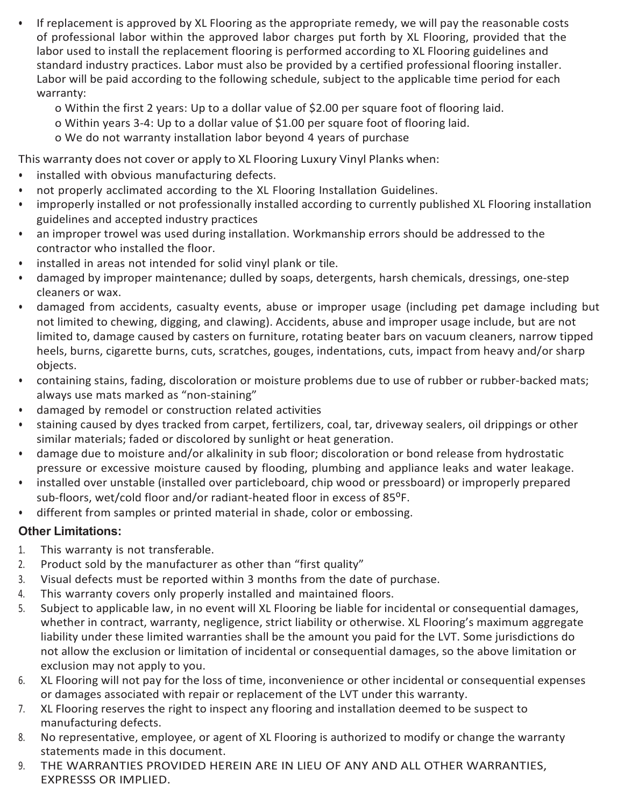- If replacement is approved by XL Flooring as the appropriate remedy, we will pay the reasonable costs of professional labor within the approved labor charges put forth by XL Flooring, provided that the labor used to install the replacement flooring is performed according to XL Flooring guidelines and standard industry practices. Labor must also be provided by a certified professional flooring installer. Labor will be paid according to the following schedule, subject to the applicable time period for each warranty:
	- o Within the first 2 years: Up to a dollar value of \$2.00 per square foot of flooring laid.
	- o Within years 3-4: Up to a dollar value of \$1.00 per square foot of flooring laid.
	- o We do not warranty installation labor beyond 4 years of purchase

This warranty does not cover or apply to XL Flooring Luxury Vinyl Planks when:

- installed with obvious manufacturing defects.
- not properly acclimated according to the XL Flooring Installation Guidelines.
- improperly installed or not professionally installed according to currently published XL Flooring installation guidelines and accepted industry practices
- an improper trowel was used during installation. Workmanship errors should be addressed to the contractor who installed the floor.
- installed in areas not intended for solid vinyl plank or tile.
- damaged by improper maintenance; dulled by soaps, detergents, harsh chemicals, dressings, one-step cleaners or wax.
- damaged from accidents, casualty events, abuse or improper usage (including pet damage including but not limited to chewing, digging, and clawing). Accidents, abuse and improper usage include, but are not limited to, damage caused by casters on furniture, rotating beater bars on vacuum cleaners, narrow tipped heels, burns, cigarette burns, cuts, scratches, gouges, indentations, cuts, impact from heavy and/or sharp objects.
- containing stains, fading, discoloration or moisture problems due to use of rubber or rubber-backed mats; always use mats marked as "non-staining"
- damaged by remodel or construction related activities
- staining caused by dyes tracked from carpet, fertilizers, coal, tar, driveway sealers, oil drippings or other similar materials; faded or discolored by sunlight or heat generation.
- damage due to moisture and/or alkalinity in sub floor; discoloration or bond release from hydrostatic pressure or excessive moisture caused by flooding, plumbing and appliance leaks and water leakage.
- installed over unstable (installed over particleboard, chip wood or pressboard) or improperly prepared sub-floors, wet/cold floor and/or radiant-heated floor in excess of 85<sup>o</sup>F.
- different from samples or printed material in shade, color or embossing.

# **Other Limitations:**

- 1. This warranty is not transferable.
- 2. Product sold by the manufacturer as other than "first quality"
- 3. Visual defects must be reported within 3 months from the date of purchase.
- 4. This warranty covers only properly installed and maintained floors.
- 5. Subject to applicable law, in no event will XL Flooring be liable for incidental or consequential damages, whether in contract, warranty, negligence, strict liability or otherwise. XL Flooring's maximum aggregate liability under these limited warranties shall be the amount you paid for the LVT. Some jurisdictions do not allow the exclusion or limitation of incidental or consequential damages, so the above limitation or exclusion may not apply to you.
- 6. XL Flooring will not pay for the loss of time, inconvenience or other incidental or consequential expenses or damages associated with repair or replacement of the LVT under this warranty.
- 7. XL Flooring reserves the right to inspect any flooring and installation deemed to be suspect to manufacturing defects.
- 8. No representative, employee, or agent of XL Flooring is authorized to modify or change the warranty statements made in this document.
- 9. THE WARRANTIES PROVIDED HEREIN ARE IN LIEU OF ANY AND ALL OTHER WARRANTIES, EXPRESSS OR IMPLIED.